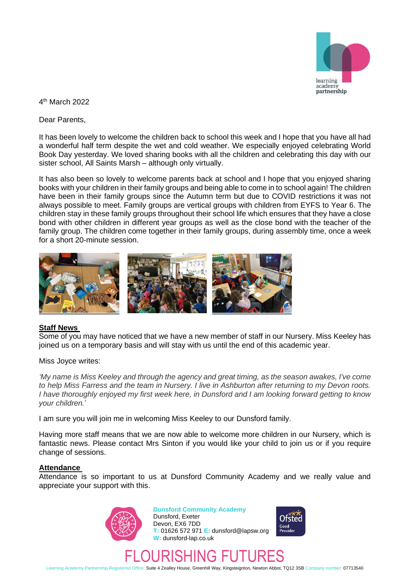

4 th March 2022

Dear Parents,

It has been lovely to welcome the children back to school this week and I hope that you have all had a wonderful half term despite the wet and cold weather. We especially enjoyed celebrating World Book Day yesterday. We loved sharing books with all the children and celebrating this day with our sister school, All Saints Marsh – although only virtually.

It has also been so lovely to welcome parents back at school and I hope that you enjoyed sharing books with your children in their family groups and being able to come in to school again! The children have been in their family groups since the Autumn term but due to COVID restrictions it was not always possible to meet. Family groups are vertical groups with children from EYFS to Year 6. The children stay in these family groups throughout their school life which ensures that they have a close bond with other children in different year groups as well as the close bond with the teacher of the family group. The children come together in their family groups, during assembly time, once a week for a short 20-minute session.



## **Staff News**

Some of you may have noticed that we have a new member of staff in our Nursery. Miss Keeley has joined us on a temporary basis and will stay with us until the end of this academic year.

Miss Joyce writes:

*'My name is Miss Keeley and through the agency and great timing, as the season awakes, I've come to help Miss Farress and the team in Nursery. I live in Ashburton after returning to my Devon roots. I have thoroughly enjoyed my first week here, in Dunsford and I am looking forward getting to know your children.*'

I am sure you will join me in welcoming Miss Keeley to our Dunsford family.

Having more staff means that we are now able to welcome more children in our Nursery, which is fantastic news. Please contact Mrs Sinton if you would like your child to join us or if you require change of sessions.

## **Attendance**

Attendance is so important to us at Dunsford Community Academy and we really value and appreciate your support with this.



**Dunsford Community Academy** Dunsford, Exeter Devon, EX6 7DD **T:** 01626 572 971 **E:** dunsford@lapsw.org

**W:** dunsford-lap.co.uk



FLOURISHING FUTURES

Learning Academy Partnership Registered Office: Suite 4 Zealley House, Greenhill Way, Kingsteignton, Newton Abbot, TQ12 3SB Company number: 07713540